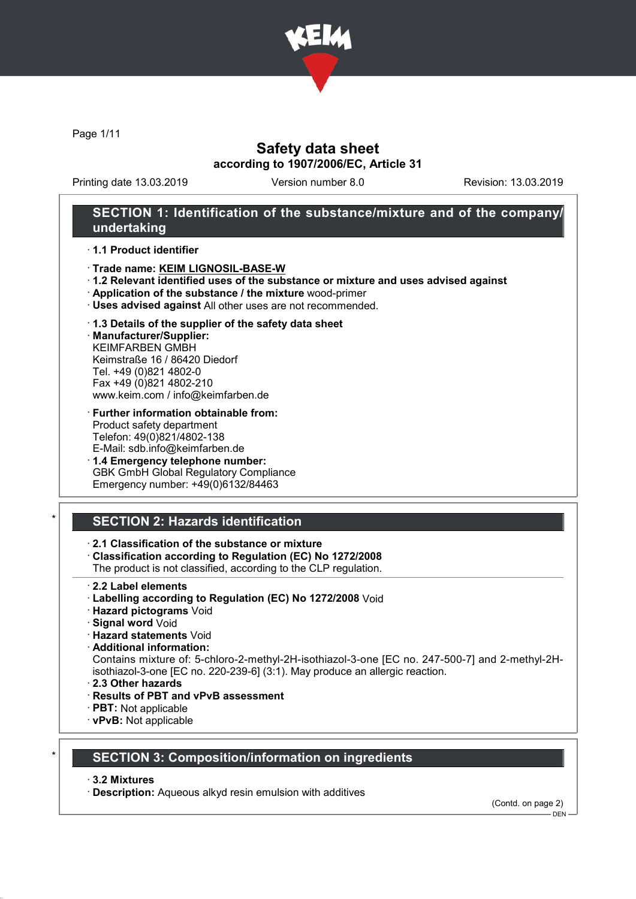

Page 1/11

## Safety data sheet according to 1907/2006/EC, Article 31

Printing date 13.03.2019 Version number 8.0 Revision: 13.03.2019

## SECTION 1: Identification of the substance/mixture and of the company/ undertaking

#### · 1.1 Product identifier

- · Trade name: KEIM LIGNOSIL-BASE-W
- · 1.2 Relevant identified uses of the substance or mixture and uses advised against
- · Application of the substance / the mixture wood-primer
- · Uses advised against All other uses are not recommended.

#### · 1.3 Details of the supplier of the safety data sheet

· Manufacturer/Supplier: KEIMFARBEN GMBH Keimstraße 16 / 86420 Diedorf Tel. +49 (0)821 4802-0 Fax +49 (0)821 4802-210 www.keim.com / info@keimfarben.de

- · Further information obtainable from: Product safety department Telefon: 49(0)821/4802-138 E-Mail: sdb.info@keimfarben.de
- · 1.4 Emergency telephone number: GBK GmbH Global Regulatory Compliance Emergency number: +49(0)6132/84463

## **SECTION 2: Hazards identification**

## · 2.1 Classification of the substance or mixture

· Classification according to Regulation (EC) No 1272/2008

The product is not classified, according to the CLP regulation.

- · 2.2 Label elements
- · Labelling according to Regulation (EC) No 1272/2008 Void
- · Hazard pictograms Void
- · Signal word Void
- · Hazard statements Void
- · Additional information:

Contains mixture of: 5-chloro-2-methyl-2H-isothiazol-3-one [EC no. 247-500-7] and 2-methyl-2Hisothiazol-3-one [EC no. 220-239-6] (3:1). May produce an allergic reaction.

- · 2.3 Other hazards
- · Results of PBT and vPvB assessment
- · PBT: Not applicable
- · vPvB: Not applicable

## **SECTION 3: Composition/information on ingredients**

· 3.2 Mixtures

· Description: Aqueous alkyd resin emulsion with additives

(Contd. on page 2)

 $-$  DEN -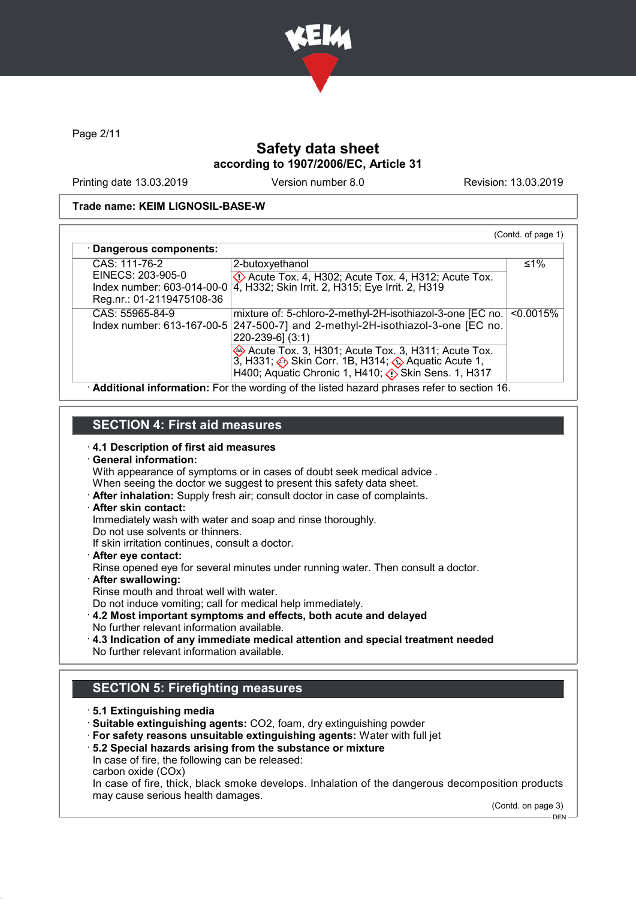

Page 2/11

# Safety data sheet according to 1907/2006/EC, Article 31

Printing date 13.03.2019 Version number 8.0 Revision: 13.03.2019

### Trade name: KEIM LIGNOSIL-BASE-W

| · Dangerous components:                                                      |                                                                                                                                                               |           |
|------------------------------------------------------------------------------|---------------------------------------------------------------------------------------------------------------------------------------------------------------|-----------|
| CAS: 111-76-2                                                                | 2-butoxyethanol                                                                                                                                               | ≤1%       |
| EINECS: 203-905-0<br>Index number: 603-014-00-0<br>Reg.nr.: 01-2119475108-36 | $\langle \cdot \rangle$ Acute Tox. 4, H302; Acute Tox. 4, H312; Acute Tox.<br>4, H332; Skin Irrit. 2, H315; Eye Irrit. 2, H319                                |           |
| CAS: 55965-84-9<br>Index number: 613-167-00-5                                | mixture of: 5-chloro-2-methyl-2H-isothiazol-3-one [EC no.<br>247-500-7] and 2-methyl-2H-isothiazol-3-one [EC no.<br>220-239-6] (3:1)                          | < 0.0015% |
|                                                                              | Acute Tox. 3, H301; Acute Tox. 3, H311; Acute Tox.<br>3, H331; Skin Corr. 1B, H314; Aquatic Acute 1,<br>H400; Aquatic Chronic 1, H410; (1) Skin Sens. 1, H317 |           |

# SECTION 4: First aid measures

| 4.1 Description of first aid measures<br>· General information:<br>With appearance of symptoms or in cases of doubt seek medical advice.<br>When seeing the doctor we suggest to present this safety data sheet.<br>After inhalation: Supply fresh air; consult doctor in case of complaints.<br>· After skin contact:<br>Immediately wash with water and soap and rinse thoroughly.<br>Do not use solvents or thinners.<br>If skin irritation continues, consult a doctor.<br>$\cdot$ After eye contact:<br>Rinse opened eye for several minutes under running water. Then consult a doctor.<br>· After swallowing:<br>Rinse mouth and throat well with water.<br>Do not induce vomiting; call for medical help immediately.<br>4.2 Most important symptoms and effects, both acute and delayed<br>No further relevant information available.<br>$\cdot$ 4.3 Indication of any immediate medical attention and special treatment needed<br>No further relevant information available. |
|----------------------------------------------------------------------------------------------------------------------------------------------------------------------------------------------------------------------------------------------------------------------------------------------------------------------------------------------------------------------------------------------------------------------------------------------------------------------------------------------------------------------------------------------------------------------------------------------------------------------------------------------------------------------------------------------------------------------------------------------------------------------------------------------------------------------------------------------------------------------------------------------------------------------------------------------------------------------------------------|
| <b>SECTION 5: Firefighting measures</b>                                                                                                                                                                                                                                                                                                                                                                                                                                                                                                                                                                                                                                                                                                                                                                                                                                                                                                                                                |
| ⋅5.1 Extinguishing media<br>· Suitable extinguishing agents: CO2, foam, dry extinguishing powder<br>· For safety reasons unsuitable extinguishing agents: Water with full jet<br>5.2 Special hazards arising from the substance or mixture<br>In case of fire, the following can be released:<br>carbon oxide (COx)<br>In case of fire, thick, black smoke develops. Inhalation of the dangerous decomposition products<br>may cause serious health damages.<br>(Contd. on page 3)                                                                                                                                                                                                                                                                                                                                                                                                                                                                                                     |

DEN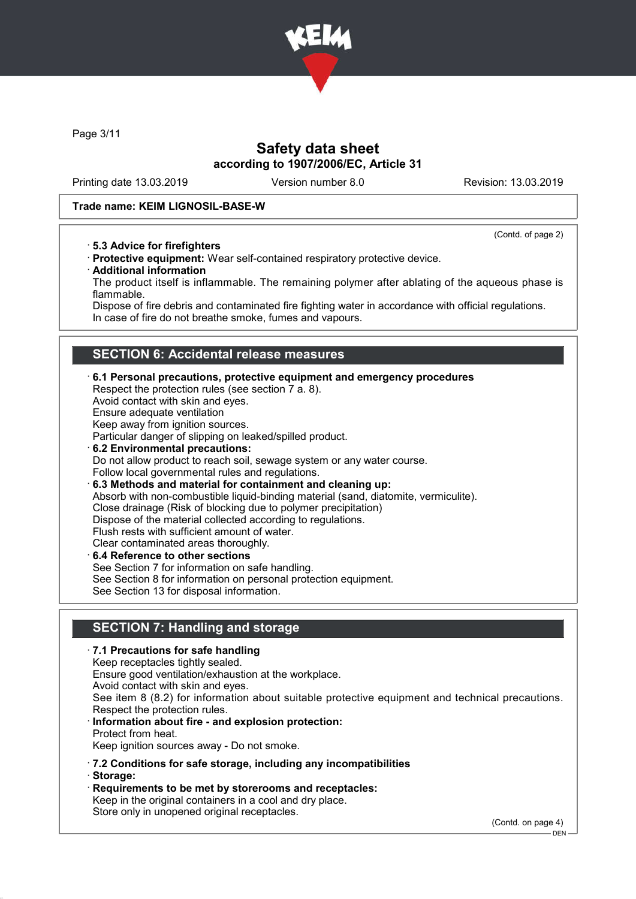

Page 3/11

# Safety data sheet according to 1907/2006/EC, Article 31

Printing date 13.03.2019 Version number 8.0 Revision: 13.03.2019

(Contd. of page 2)

### Trade name: KEIM LIGNOSIL-BASE-W

· 5.3 Advice for firefighters

· Protective equipment: Wear self-contained respiratory protective device.

· Additional information

The product itself is inflammable. The remaining polymer after ablating of the aqueous phase is flammable.

Dispose of fire debris and contaminated fire fighting water in accordance with official regulations. In case of fire do not breathe smoke, fumes and vapours.

## SECTION 6: Accidental release measures

· 6.1 Personal precautions, protective equipment and emergency procedures Respect the protection rules (see section 7 a. 8). Avoid contact with skin and eyes. Ensure adequate ventilation Keep away from ignition sources. Particular danger of slipping on leaked/spilled product. · 6.2 Environmental precautions: Do not allow product to reach soil, sewage system or any water course. Follow local governmental rules and regulations. · 6.3 Methods and material for containment and cleaning up: Absorb with non-combustible liquid-binding material (sand, diatomite, vermiculite). Close drainage (Risk of blocking due to polymer precipitation) Dispose of the material collected according to regulations. Flush rests with sufficient amount of water. Clear contaminated areas thoroughly. 6.4 Reference to other sections See Section 7 for information on safe handling. See Section 8 for information on personal protection equipment. See Section 13 for disposal information.

# SECTION 7: Handling and storage

# · 7.1 Precautions for safe handling Keep receptacles tightly sealed. Ensure good ventilation/exhaustion at the workplace. Avoid contact with skin and eyes. See item 8 (8.2) for information about suitable protective equipment and technical precautions. Respect the protection rules. Information about fire - and explosion protection: Protect from heat. Keep ignition sources away - Do not smoke.

- · 7.2 Conditions for safe storage, including any incompatibilities
- · Storage:
- · Requirements to be met by storerooms and receptacles: Keep in the original containers in a cool and dry place. Store only in unopened original receptacles.

(Contd. on page 4)

<sup>–</sup> DEN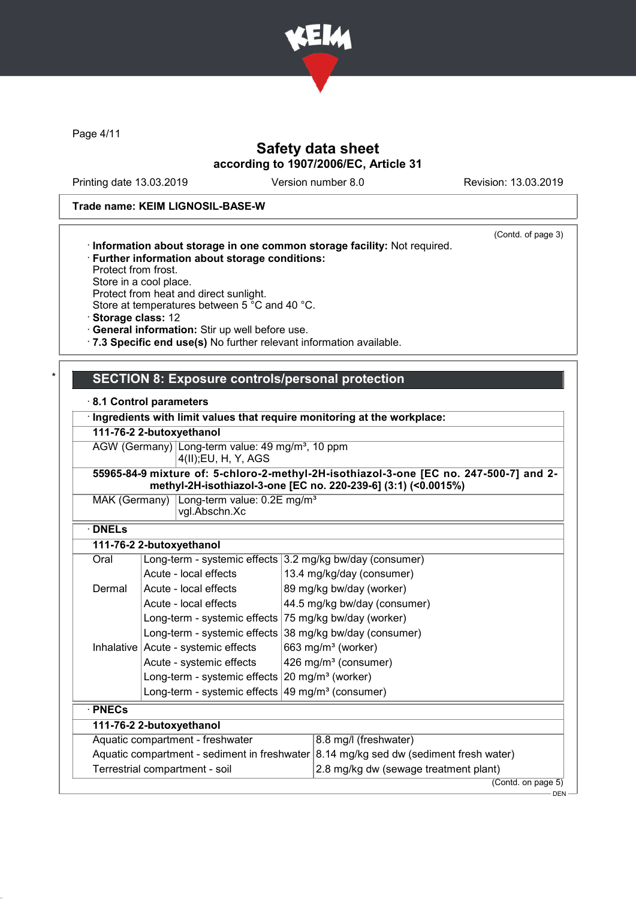

Page 4/11

# Safety data sheet according to 1907/2006/EC, Article 31

Printing date 13.03.2019 Version number 8.0 Revision: 13.03.2019

(Contd. of page 3)

### Trade name: KEIM LIGNOSIL-BASE-W

| · Information about storage in one common storage facility: Not required. |  |  |
|---------------------------------------------------------------------------|--|--|
|                                                                           |  |  |

- · Further information about storage conditions:
- Protect from frost.
- Store in a cool place.

Protect from heat and direct sunlight. Store at temperatures between 5 °C and 40 °C.

· Storage class: 12

· General information: Stir up well before use.

· 7.3 Specific end use(s) No further relevant information available.

## SECTION 8: Exposure controls/personal protection

### · 8.1 Control parameters

|                          | · Ingredients with limit values that require monitoring at the workplace:                                                                                |
|--------------------------|----------------------------------------------------------------------------------------------------------------------------------------------------------|
| 111-76-2 2-butoxyethanol |                                                                                                                                                          |
|                          | AGW (Germany) Long-term value: 49 mg/m <sup>3</sup> , 10 ppm<br>4(II);EU, H, Y, AGS                                                                      |
|                          | 55965-84-9 mixture of: 5-chloro-2-methyl-2H-isothiazol-3-one [EC no. 247-500-7] and 2-<br>methyl-2H-isothiazol-3-one [EC no. 220-239-6] (3:1) (<0.0015%) |
|                          | MAK (Germany) $\lfloor$ Long-term value: 0.2E mg/m <sup>3</sup><br>vgl.Abschn.Xc                                                                         |

· DNELs

## 111-76-2 2-butoxyethanol

| Oral                                         | Long-term - systemic effects 3.2 mg/kg bw/day (consumer)    |                                  |                                          |  |
|----------------------------------------------|-------------------------------------------------------------|----------------------------------|------------------------------------------|--|
|                                              | Acute - local effects                                       | 13.4 mg/kg/day (consumer)        |                                          |  |
| Dermal                                       | Acute - local effects                                       |                                  | 89 mg/kg bw/day (worker)                 |  |
|                                              | Acute - local effects                                       |                                  | 44.5 mg/kg bw/day (consumer)             |  |
|                                              | Long-term - systemic effects 75 mg/kg bw/day (worker)       |                                  |                                          |  |
|                                              | Long-term - systemic effects                                |                                  | 38 mg/kg bw/day (consumer)               |  |
| Inhalative                                   | Acute - systemic effects                                    |                                  | 663 mg/m <sup>3</sup> (worker)           |  |
|                                              | Acute - systemic effects                                    | 426 mg/m <sup>3</sup> (consumer) |                                          |  |
|                                              | Long-term - systemic effects $20 \text{ mg/m}^3$ (worker)   |                                  |                                          |  |
|                                              | Long-term - systemic effects $49 \text{ mg/m}^3$ (consumer) |                                  |                                          |  |
| $\cdot$ PNECs                                |                                                             |                                  |                                          |  |
| 111-76-2 2-butoxyethanol                     |                                                             |                                  |                                          |  |
|                                              | 8.8 mg/l (freshwater)<br>Aquatic compartment - freshwater   |                                  |                                          |  |
| Aquatic compartment - sediment in freshwater |                                                             |                                  | 8.14 mg/kg sed dw (sediment fresh water) |  |
| Terrestrial compartment - soil               |                                                             |                                  | 2.8 mg/kg dw (sewage treatment plant)    |  |
|                                              |                                                             |                                  | (Contd. on page 5)                       |  |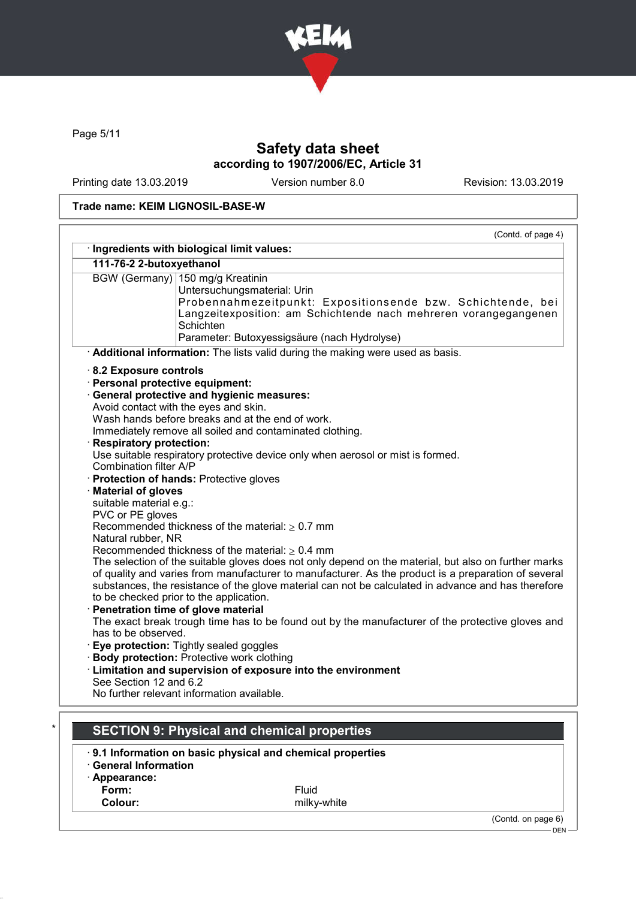

Page 5/11

# Safety data sheet according to 1907/2006/EC, Article 31

Printing date 13.03.2019 Version number 8.0 Revision: 13.03.2019

## Trade name: KEIM LIGNOSIL-BASE-W

|                                      | (Contd. of page 4)<br>· Ingredients with biological limit values:                                    |
|--------------------------------------|------------------------------------------------------------------------------------------------------|
|                                      |                                                                                                      |
| 111-76-2 2-butoxyethanol             |                                                                                                      |
|                                      | BGW (Germany) 150 mg/g Kreatinin                                                                     |
|                                      | Untersuchungsmaterial: Urin<br>Probennahmezeitpunkt: Expositionsende bzw. Schichtende, bei           |
|                                      | Langzeitexposition: am Schichtende nach mehreren vorangegangenen                                     |
|                                      | Schichten                                                                                            |
|                                      | Parameter: Butoxyessigsäure (nach Hydrolyse)                                                         |
|                                      | Additional information: The lists valid during the making were used as basis.                        |
| 8.2 Exposure controls                |                                                                                                      |
| Personal protective equipment:       |                                                                                                      |
|                                      | · General protective and hygienic measures:                                                          |
|                                      | Avoid contact with the eyes and skin.                                                                |
|                                      | Wash hands before breaks and at the end of work.                                                     |
|                                      | Immediately remove all soiled and contaminated clothing.                                             |
| <b>Respiratory protection:</b>       |                                                                                                      |
|                                      | Use suitable respiratory protective device only when aerosol or mist is formed.                      |
| Combination filter A/P               |                                                                                                      |
|                                      | · Protection of hands: Protective gloves                                                             |
| Material of gloves                   |                                                                                                      |
| suitable material e.g.:              |                                                                                                      |
| PVC or PE gloves                     | Recommended thickness of the material: $\geq 0.7$ mm                                                 |
| Natural rubber, NR                   |                                                                                                      |
|                                      | Recommended thickness of the material: $\geq 0.4$ mm                                                 |
|                                      | The selection of the suitable gloves does not only depend on the material, but also on further marks |
|                                      | of quality and varies from manufacturer to manufacturer. As the product is a preparation of several  |
|                                      | substances, the resistance of the glove material can not be calculated in advance and has therefore  |
|                                      | to be checked prior to the application.                                                              |
| · Penetration time of glove material |                                                                                                      |
|                                      | The exact break trough time has to be found out by the manufacturer of the protective gloves and     |
| has to be observed.                  |                                                                                                      |
|                                      | · Eye protection: Tightly sealed goggles                                                             |
|                                      | · Body protection: Protective work clothing                                                          |
|                                      | · Limitation and supervision of exposure into the environment                                        |
|                                      |                                                                                                      |
| See Section 12 and 6.2               | No further relevant information available.                                                           |

|                            | 9.1 Information on basic physical and chemical properties |  |
|----------------------------|-----------------------------------------------------------|--|
| <b>General Information</b> |                                                           |  |
| · Appearance:              |                                                           |  |
| Form:                      | <b>Fluid</b>                                              |  |
| Colour:                    | milky-white                                               |  |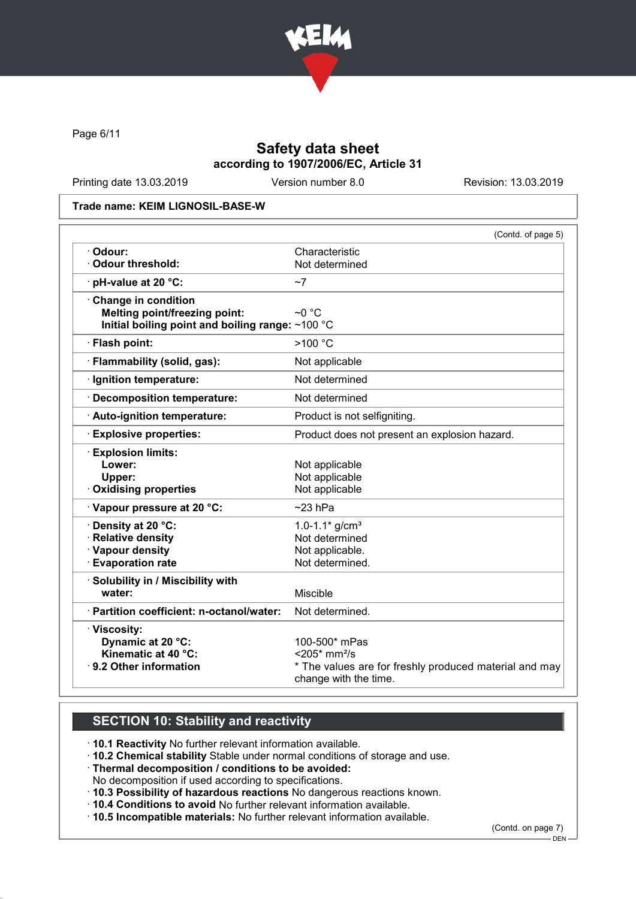

Page 6/11

# Safety data sheet according to 1907/2006/EC, Article 31

Printing date 13.03.2019 Version number 8.0 Revision: 13.03.2019

#### Trade name: KEIM LIGNOSIL-BASE-W

|                                                  | (Contd. of page 5)                                                              |
|--------------------------------------------------|---------------------------------------------------------------------------------|
| · Odour:                                         | Characteristic                                                                  |
| Odour threshold:                                 | Not determined                                                                  |
| · pH-value at 20 °C:                             | ~1                                                                              |
| Change in condition                              |                                                                                 |
| <b>Melting point/freezing point:</b>             | $~\sim$ 0 ° C                                                                   |
| Initial boiling point and boiling range: ~100 °C |                                                                                 |
| · Flash point:                                   | >100 °C                                                                         |
| · Flammability (solid, gas):                     | Not applicable                                                                  |
| · Ignition temperature:                          | Not determined                                                                  |
| · Decomposition temperature:                     | Not determined                                                                  |
| · Auto-ignition temperature:                     | Product is not selfigniting.                                                    |
| <b>Explosive properties:</b>                     | Product does not present an explosion hazard.                                   |
| <b>Explosion limits:</b>                         |                                                                                 |
| Lower:                                           | Not applicable                                                                  |
| Upper:                                           | Not applicable                                                                  |
| <b>Oxidising properties</b>                      | Not applicable                                                                  |
| Vapour pressure at 20 °C:                        | $~23$ hPa                                                                       |
| Density at 20 °C:                                | 1.0-1.1* $g/cm^{3}$                                                             |
| · Relative density                               | Not determined                                                                  |
| · Vapour density                                 | Not applicable.                                                                 |
| <b>Evaporation rate</b>                          | Not determined.                                                                 |
| · Solubility in / Miscibility with               |                                                                                 |
| water:                                           | <b>Miscible</b>                                                                 |
| · Partition coefficient: n-octanol/water:        | Not determined.                                                                 |
| · Viscosity:                                     |                                                                                 |
| Dynamic at 20 °C:                                | 100-500* mPas                                                                   |
| Kinematic at 40 °C:                              | $<$ 205 $*$ mm <sup>2</sup> /s                                                  |
| ⋅ 9.2 Other information                          | * The values are for freshly produced material and may<br>change with the time. |
|                                                  |                                                                                 |

# SECTION 10: Stability and reactivity

· 10.1 Reactivity No further relevant information available.

· 10.2 Chemical stability Stable under normal conditions of storage and use.

· Thermal decomposition / conditions to be avoided:

No decomposition if used according to specifications.

· 10.3 Possibility of hazardous reactions No dangerous reactions known.

· 10.4 Conditions to avoid No further relevant information available.

· 10.5 Incompatible materials: No further relevant information available.

(Contd. on page 7)

DEN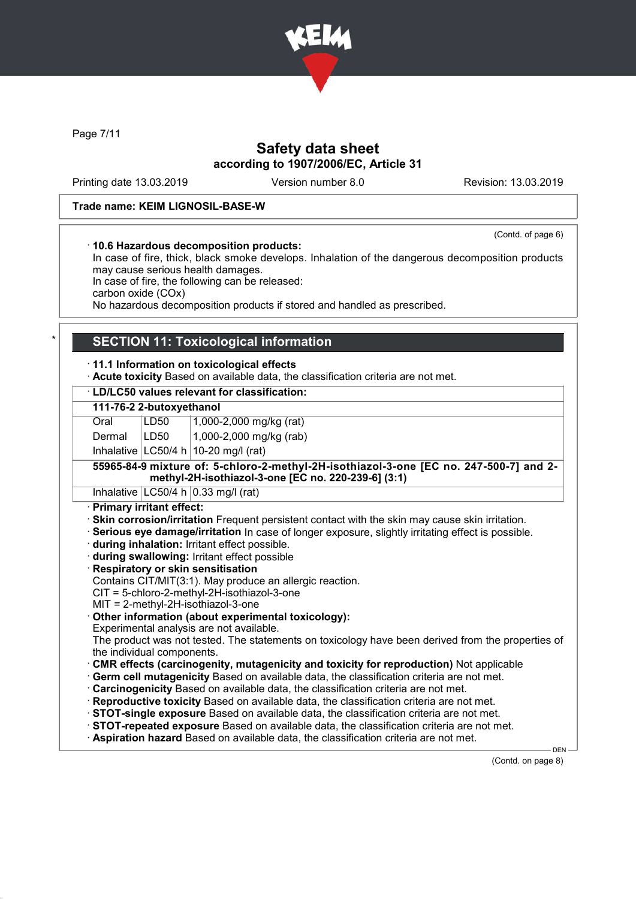

Page 7/11

# Safety data sheet according to 1907/2006/EC, Article 31

Printing date 13.03.2019 Version number 8.0 Revision: 13.03.2019

### Trade name: KEIM LIGNOSIL-BASE-W

(Contd. of page 6)

· 10.6 Hazardous decomposition products: In case of fire, thick, black smoke develops. Inhalation of the dangerous decomposition products may cause serious health damages.

In case of fire, the following can be released:

carbon oxide (COx)

No hazardous decomposition products if stored and handled as prescribed.

## **SECTION 11: Toxicological information**

### · 11.1 Information on toxicological effects

· Acute toxicity Based on available data, the classification criteria are not met.

### · LD/LC50 values relevant for classification: 111-76-2 2-butoxyethanol Oral LD50 1,000-2,000 mg/kg (rat) Dermal | LD50 | 1,000-2,000 mg/kg (rab) Inhalative  $|LC50/4 h|10-20 mg/l$  (rat) 55965-84-9 mixture of: 5-chloro-2-methyl-2H-isothiazol-3-one [EC no. 247-500-7] and 2 methyl-2H-isothiazol-3-one [EC no. 220-239-6] (3:1) Inhalative  $|LG50/4 h|0.33 mg/l$  (rat) · Primary irritant effect: · Skin corrosion/irritation Frequent persistent contact with the skin may cause skin irritation. · Serious eye damage/irritation In case of longer exposure, slightly irritating effect is possible. · during inhalation: Irritant effect possible. · during swallowing: Irritant effect possible · Respiratory or skin sensitisation Contains CIT/MIT(3:1). May produce an allergic reaction. CIT = 5-chloro-2-methyl-2H-isothiazol-3-one MIT = 2-methyl-2H-isothiazol-3-one Other information (about experimental toxicology): Experimental analysis are not available. The product was not tested. The statements on toxicology have been derived from the properties of the individual components.

- · CMR effects (carcinogenity, mutagenicity and toxicity for reproduction) Not applicable
- · Germ cell mutagenicity Based on available data, the classification criteria are not met.
- · Carcinogenicity Based on available data, the classification criteria are not met.
- · Reproductive toxicity Based on available data, the classification criteria are not met.
- · STOT-single exposure Based on available data, the classification criteria are not met.
- · STOT-repeated exposure Based on available data, the classification criteria are not met.
- · Aspiration hazard Based on available data, the classification criteria are not met.

(Contd. on page 8)

**DEN**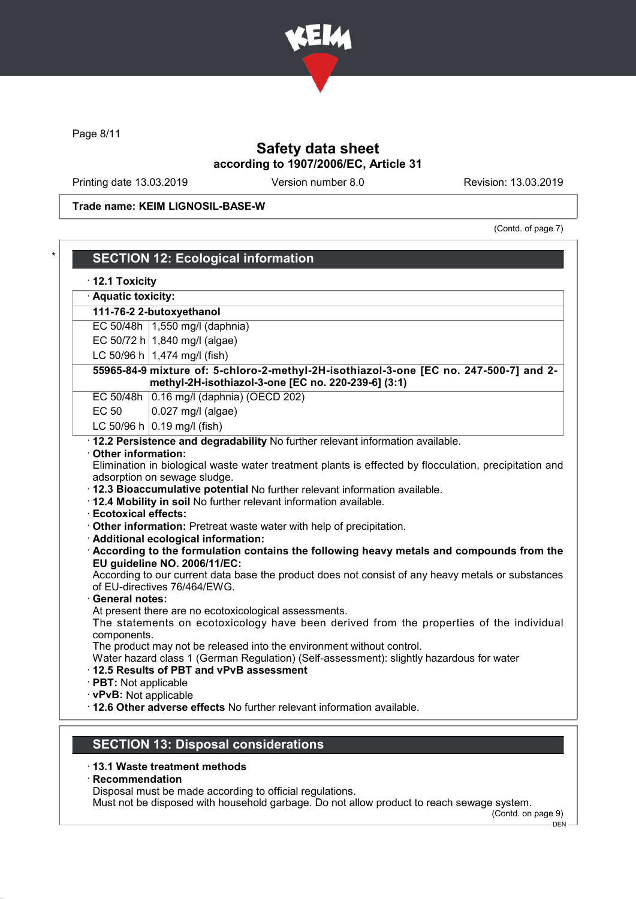

Page 8/11

# Safety data sheet according to 1907/2006/EC, Article 31

Printing date 13.03.2019 Version number 8.0 Revision: 13.03.2019

Trade name: KEIM LIGNOSIL-BASE-W

(Contd. of page 7)

| · Aquatic toxicity:                                            |                                                                                                                                                                                                                                                                                                                                                                                                                                                                                                                                                                    |
|----------------------------------------------------------------|--------------------------------------------------------------------------------------------------------------------------------------------------------------------------------------------------------------------------------------------------------------------------------------------------------------------------------------------------------------------------------------------------------------------------------------------------------------------------------------------------------------------------------------------------------------------|
|                                                                | 111-76-2 2-butoxyethanol                                                                                                                                                                                                                                                                                                                                                                                                                                                                                                                                           |
|                                                                | EC 50/48h   1,550 mg/l (daphnia)                                                                                                                                                                                                                                                                                                                                                                                                                                                                                                                                   |
|                                                                | EC 50/72 h 1,840 mg/l (algae)                                                                                                                                                                                                                                                                                                                                                                                                                                                                                                                                      |
|                                                                | LC 50/96 h   1,474 mg/l (fish)                                                                                                                                                                                                                                                                                                                                                                                                                                                                                                                                     |
|                                                                | 55965-84-9 mixture of: 5-chloro-2-methyl-2H-isothiazol-3-one [EC no. 247-500-7] and 2-<br>methyl-2H-isothiazol-3-one [EC no. 220-239-6] (3:1)                                                                                                                                                                                                                                                                                                                                                                                                                      |
|                                                                | EC 50/48h 0.16 mg/l (daphnia) (OECD 202)                                                                                                                                                                                                                                                                                                                                                                                                                                                                                                                           |
| <b>EC 50</b>                                                   | 0.027 mg/l (algae)                                                                                                                                                                                                                                                                                                                                                                                                                                                                                                                                                 |
|                                                                | LC 50/96 h $(0.19 \text{ mg/l} \text{ (fish)}$                                                                                                                                                                                                                                                                                                                                                                                                                                                                                                                     |
| <b>Ecotoxical effects:</b><br>· General notes:                 | adsorption on sewage sludge.<br>· 12.3 Bioaccumulative potential No further relevant information available.<br>· 12.4 Mobility in soil No further relevant information available.<br>· Other information: Pretreat waste water with help of precipitation.<br>· Additional ecological information:<br>According to the formulation contains the following heavy metals and compounds from the<br>EU guideline NO. 2006/11/EC:<br>According to our current data base the product does not consist of any heavy metals or substances<br>of EU-directives 76/464/EWG. |
| components.<br>· PBT: Not applicable<br>· vPvB: Not applicable | At present there are no ecotoxicological assessments.<br>The statements on ecotoxicology have been derived from the properties of the individual<br>The product may not be released into the environment without control.<br>Water hazard class 1 (German Regulation) (Self-assessment): slightly hazardous for water<br>12.5 Results of PBT and vPvB assessment                                                                                                                                                                                                   |

### · 13.1 Waste treatment methods

· Recommendation

Disposal must be made according to official regulations.

Must not be disposed with household garbage. Do not allow product to reach sewage system.

(Contd. on page 9)

<sup>-</sup> DEN -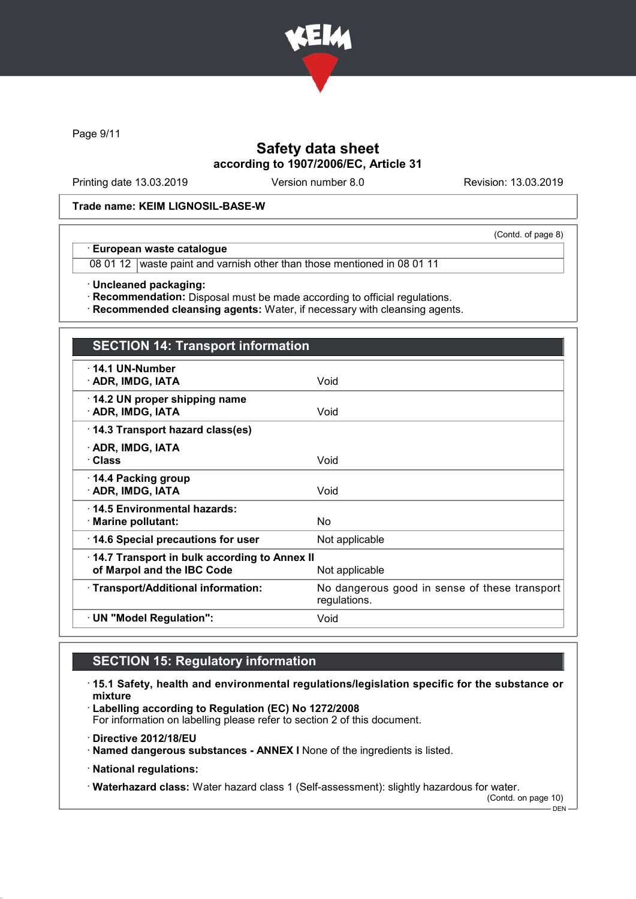

Page 9/11

# Safety data sheet according to 1907/2006/EC, Article 31

Printing date 13.03.2019 Version number 8.0 Revision: 13.03.2019

(Contd. of page 8)

### Trade name: KEIM LIGNOSIL-BASE-W

### · European waste catalogue

08 01 12 waste paint and varnish other than those mentioned in 08 01 11

· Uncleaned packaging:

· Recommendation: Disposal must be made according to official regulations.

· Recommended cleansing agents: Water, if necessary with cleansing agents.

| <b>SECTION 14: Transport information</b>                                                     |                                                               |  |
|----------------------------------------------------------------------------------------------|---------------------------------------------------------------|--|
| $\cdot$ 14.1 UN-Number<br>· ADR, IMDG, IATA                                                  | Void                                                          |  |
| 14.2 UN proper shipping name<br>· ADR, IMDG, IATA                                            | Void                                                          |  |
| 14.3 Transport hazard class(es)                                                              |                                                               |  |
| · ADR, IMDG, IATA<br>· Class                                                                 | Void                                                          |  |
| ⋅ 14.4 Packing group<br>· ADR, IMDG, IATA                                                    | Void                                                          |  |
| · 14.5 Environmental hazards:<br>· Marine pollutant:                                         | No.                                                           |  |
| 14.6 Special precautions for user                                                            | Not applicable                                                |  |
| 14.7 Transport in bulk according to Annex II<br>of Marpol and the IBC Code<br>Not applicable |                                                               |  |
| · Transport/Additional information:                                                          | No dangerous good in sense of these transport<br>regulations. |  |
| · UN "Model Regulation":                                                                     | Void                                                          |  |

# SECTION 15: Regulatory information

· 15.1 Safety, health and environmental regulations/legislation specific for the substance or mixture

· Labelling according to Regulation (EC) No 1272/2008

For information on labelling please refer to section 2 of this document.

· Directive 2012/18/EU

· Named dangerous substances - ANNEX I None of the ingredients is listed.

· National regulations:

· Waterhazard class: Water hazard class 1 (Self-assessment): slightly hazardous for water. (Contd. on page 10)

 $-$  DEN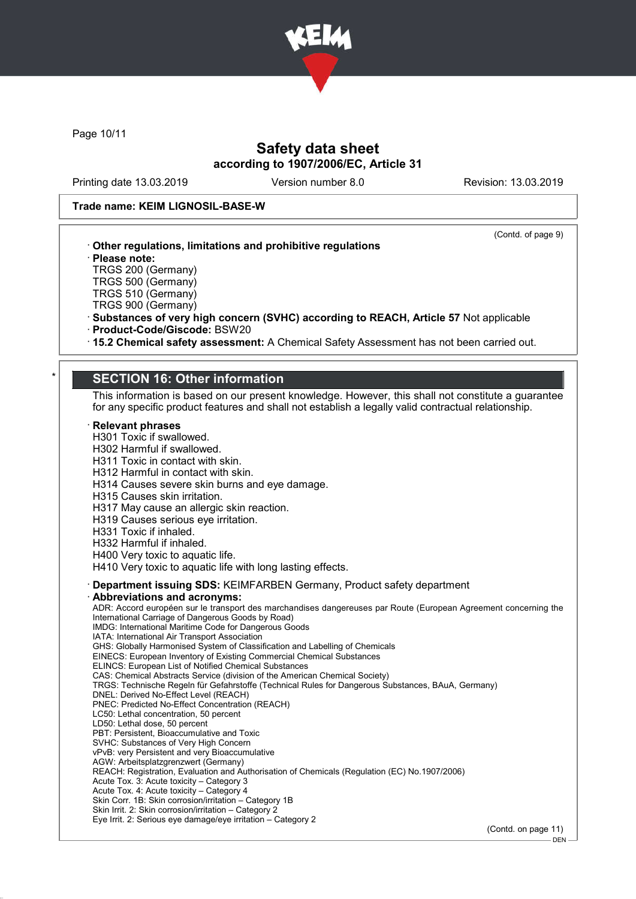

Page 10/11

# Safety data sheet according to 1907/2006/EC, Article 31

Printing date 13.03.2019 Version number 8.0 Revision: 13.03.2019

· Please note:

TRGS 200 (Germany) TRGS 500 (Germany)

(Contd. of page 9)

on page 11)  $-$  DEN -

### Trade name: KEIM LIGNOSIL-BASE-W

· Other regulations, limitations and prohibitive regulations

| · Product-Code/Giscode: BSW20<br>15.2 Chemical safety assessment: A Chemical Safety Assessment has not been carried out.<br><b>SECTION 16: Other information</b><br>This information is based on our present knowledge. However, this shall not constitute a guarantee<br>for any specific product features and shall not establish a legally valid contractual relationship.<br>$\cdot$ Relevant phrases<br>H301 Toxic if swallowed.<br>H302 Harmful if swallowed.<br>H311 Toxic in contact with skin.<br>H312 Harmful in contact with skin.<br>H314 Causes severe skin burns and eye damage.<br>H315 Causes skin irritation.<br>H317 May cause an allergic skin reaction.<br>H319 Causes serious eye irritation.<br>H331 Toxic if inhaled.<br>H332 Harmful if inhaled.<br>H400 Very toxic to aquatic life.<br>H410 Very toxic to aquatic life with long lasting effects.<br>· Department issuing SDS: KEIMFARBEN Germany, Product safety department<br>· Abbreviations and acronyms:<br>ADR: Accord européen sur le transport des marchandises dangereuses par Route (European Agreement concerning the<br>International Carriage of Dangerous Goods by Road)<br>IMDG: International Maritime Code for Dangerous Goods<br>IATA: International Air Transport Association<br>GHS: Globally Harmonised System of Classification and Labelling of Chemicals<br>EINECS: European Inventory of Existing Commercial Chemical Substances<br>ELINCS: European List of Notified Chemical Substances<br>CAS: Chemical Abstracts Service (division of the American Chemical Society)<br>TRGS: Technische Regeln für Gefahrstoffe (Technical Rules for Dangerous Substances, BAuA, Germany)<br>DNEL: Derived No-Effect Level (REACH)<br>PNEC: Predicted No-Effect Concentration (REACH)<br>LC50: Lethal concentration, 50 percent<br>LD50: Lethal dose, 50 percent<br>PBT: Persistent, Bioaccumulative and Toxic<br>SVHC: Substances of Very High Concern<br>vPvB: very Persistent and very Bioaccumulative<br>AGW: Arbeitsplatzgrenzwert (Germany)<br>REACH: Registration, Evaluation and Authorisation of Chemicals (Regulation (EC) No.1907/2006)<br>Acute Tox. 3: Acute toxicity - Category 3<br>Acute Tox. 4: Acute toxicity - Category 4<br>Skin Corr. 1B: Skin corrosion/irritation - Category 1B<br>Skin Irrit. 2: Skin corrosion/irritation - Category 2<br>Eye Irrit. 2: Serious eye damage/eye irritation - Category 2 | TRGS 510 (Germany)<br>TRGS 900 (Germany)<br>· Substances of very high concern (SVHC) according to REACH, Article 57 Not applicable |
|------------------------------------------------------------------------------------------------------------------------------------------------------------------------------------------------------------------------------------------------------------------------------------------------------------------------------------------------------------------------------------------------------------------------------------------------------------------------------------------------------------------------------------------------------------------------------------------------------------------------------------------------------------------------------------------------------------------------------------------------------------------------------------------------------------------------------------------------------------------------------------------------------------------------------------------------------------------------------------------------------------------------------------------------------------------------------------------------------------------------------------------------------------------------------------------------------------------------------------------------------------------------------------------------------------------------------------------------------------------------------------------------------------------------------------------------------------------------------------------------------------------------------------------------------------------------------------------------------------------------------------------------------------------------------------------------------------------------------------------------------------------------------------------------------------------------------------------------------------------------------------------------------------------------------------------------------------------------------------------------------------------------------------------------------------------------------------------------------------------------------------------------------------------------------------------------------------------------------------------------------------------------------------------------------------------------------------------------------------------------------------------------------------------------|------------------------------------------------------------------------------------------------------------------------------------|
|                                                                                                                                                                                                                                                                                                                                                                                                                                                                                                                                                                                                                                                                                                                                                                                                                                                                                                                                                                                                                                                                                                                                                                                                                                                                                                                                                                                                                                                                                                                                                                                                                                                                                                                                                                                                                                                                                                                                                                                                                                                                                                                                                                                                                                                                                                                                                                                                                        |                                                                                                                                    |
|                                                                                                                                                                                                                                                                                                                                                                                                                                                                                                                                                                                                                                                                                                                                                                                                                                                                                                                                                                                                                                                                                                                                                                                                                                                                                                                                                                                                                                                                                                                                                                                                                                                                                                                                                                                                                                                                                                                                                                                                                                                                                                                                                                                                                                                                                                                                                                                                                        |                                                                                                                                    |
|                                                                                                                                                                                                                                                                                                                                                                                                                                                                                                                                                                                                                                                                                                                                                                                                                                                                                                                                                                                                                                                                                                                                                                                                                                                                                                                                                                                                                                                                                                                                                                                                                                                                                                                                                                                                                                                                                                                                                                                                                                                                                                                                                                                                                                                                                                                                                                                                                        |                                                                                                                                    |
|                                                                                                                                                                                                                                                                                                                                                                                                                                                                                                                                                                                                                                                                                                                                                                                                                                                                                                                                                                                                                                                                                                                                                                                                                                                                                                                                                                                                                                                                                                                                                                                                                                                                                                                                                                                                                                                                                                                                                                                                                                                                                                                                                                                                                                                                                                                                                                                                                        |                                                                                                                                    |
|                                                                                                                                                                                                                                                                                                                                                                                                                                                                                                                                                                                                                                                                                                                                                                                                                                                                                                                                                                                                                                                                                                                                                                                                                                                                                                                                                                                                                                                                                                                                                                                                                                                                                                                                                                                                                                                                                                                                                                                                                                                                                                                                                                                                                                                                                                                                                                                                                        |                                                                                                                                    |
|                                                                                                                                                                                                                                                                                                                                                                                                                                                                                                                                                                                                                                                                                                                                                                                                                                                                                                                                                                                                                                                                                                                                                                                                                                                                                                                                                                                                                                                                                                                                                                                                                                                                                                                                                                                                                                                                                                                                                                                                                                                                                                                                                                                                                                                                                                                                                                                                                        | (Contd. on page 11)                                                                                                                |